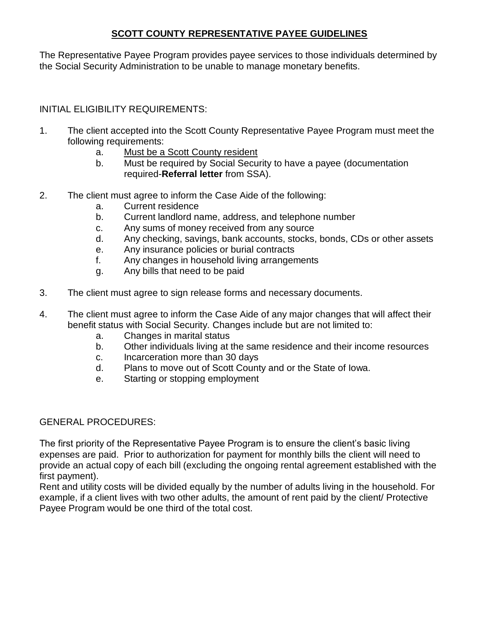## **SCOTT COUNTY REPRESENTATIVE PAYEE GUIDELINES**

The Representative Payee Program provides payee services to those individuals determined by the Social Security Administration to be unable to manage monetary benefits.

## INITIAL ELIGIBILITY REQUIREMENTS:

- 1. The client accepted into the Scott County Representative Payee Program must meet the following requirements:
	- a. Must be a Scott County resident
	- b. Must be required by Social Security to have a payee (documentation required-**Referral letter** from SSA).
- 2. The client must agree to inform the Case Aide of the following:
	- a. Current residence
	- b. Current landlord name, address, and telephone number
	- c. Any sums of money received from any source
	- d. Any checking, savings, bank accounts, stocks, bonds, CDs or other assets
	- e. Any insurance policies or burial contracts
	- f. Any changes in household living arrangements
	- g. Any bills that need to be paid
- 3. The client must agree to sign release forms and necessary documents.
- 4. The client must agree to inform the Case Aide of any major changes that will affect their benefit status with Social Security. Changes include but are not limited to:
	- a. Changes in marital status
	- b. Other individuals living at the same residence and their income resources
	- c. Incarceration more than 30 days
	- d. Plans to move out of Scott County and or the State of Iowa.
	- e. Starting or stopping employment

## GENERAL PROCEDURES:

The first priority of the Representative Payee Program is to ensure the client's basic living expenses are paid. Prior to authorization for payment for monthly bills the client will need to provide an actual copy of each bill (excluding the ongoing rental agreement established with the first payment).

Rent and utility costs will be divided equally by the number of adults living in the household. For example, if a client lives with two other adults, the amount of rent paid by the client/ Protective Payee Program would be one third of the total cost.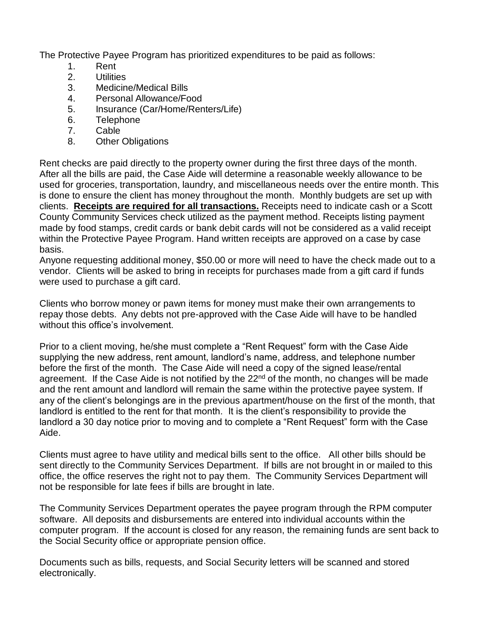The Protective Payee Program has prioritized expenditures to be paid as follows:

- 1. Rent
- 2. Utilities
- 3. Medicine/Medical Bills
- 4. Personal Allowance/Food
- 5. Insurance (Car/Home/Renters/Life)
- 6. Telephone
- 7. Cable
- 8. Other Obligations

Rent checks are paid directly to the property owner during the first three days of the month. After all the bills are paid, the Case Aide will determine a reasonable weekly allowance to be used for groceries, transportation, laundry, and miscellaneous needs over the entire month. This is done to ensure the client has money throughout the month. Monthly budgets are set up with clients. **Receipts are required for all transactions.** Receipts need to indicate cash or a Scott County Community Services check utilized as the payment method. Receipts listing payment made by food stamps, credit cards or bank debit cards will not be considered as a valid receipt within the Protective Payee Program. Hand written receipts are approved on a case by case basis.

Anyone requesting additional money, \$50.00 or more will need to have the check made out to a vendor. Clients will be asked to bring in receipts for purchases made from a gift card if funds were used to purchase a gift card.

Clients who borrow money or pawn items for money must make their own arrangements to repay those debts. Any debts not pre-approved with the Case Aide will have to be handled without this office's involvement.

Prior to a client moving, he/she must complete a "Rent Request" form with the Case Aide supplying the new address, rent amount, landlord's name, address, and telephone number before the first of the month. The Case Aide will need a copy of the signed lease/rental agreement. If the Case Aide is not notified by the 22<sup>nd</sup> of the month, no changes will be made and the rent amount and landlord will remain the same within the protective payee system. If any of the client's belongings are in the previous apartment/house on the first of the month, that landlord is entitled to the rent for that month. It is the client's responsibility to provide the landlord a 30 day notice prior to moving and to complete a "Rent Request" form with the Case Aide.

Clients must agree to have utility and medical bills sent to the office. All other bills should be sent directly to the Community Services Department. If bills are not brought in or mailed to this office, the office reserves the right not to pay them. The Community Services Department will not be responsible for late fees if bills are brought in late.

The Community Services Department operates the payee program through the RPM computer software. All deposits and disbursements are entered into individual accounts within the computer program. If the account is closed for any reason, the remaining funds are sent back to the Social Security office or appropriate pension office.

Documents such as bills, requests, and Social Security letters will be scanned and stored electronically.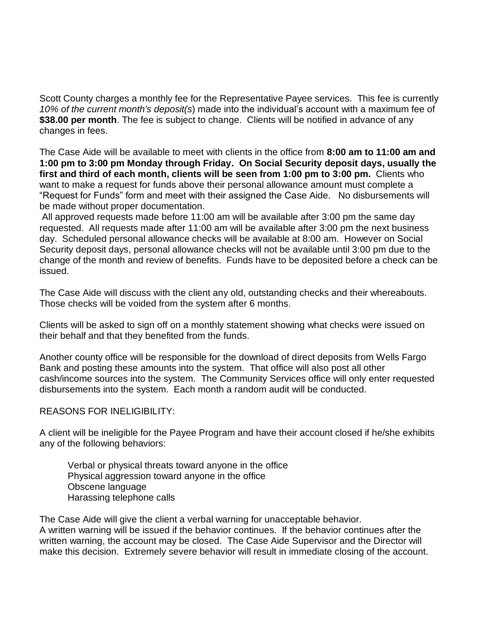Scott County charges a monthly fee for the Representative Payee services. This fee is currently *10% of the current month's deposit(s*) made into the individual's account with a maximum fee of **\$38.00 per month**. The fee is subject to change. Clients will be notified in advance of any changes in fees.

The Case Aide will be available to meet with clients in the office from **8:00 am to 11:00 am and 1:00 pm to 3:00 pm Monday through Friday. On Social Security deposit days, usually the first and third of each month, clients will be seen from 1:00 pm to 3:00 pm.** Clients who want to make a request for funds above their personal allowance amount must complete a "Request for Funds" form and meet with their assigned the Case Aide. No disbursements will be made without proper documentation.

All approved requests made before 11:00 am will be available after 3:00 pm the same day requested. All requests made after 11:00 am will be available after 3:00 pm the next business day. Scheduled personal allowance checks will be available at 8:00 am. However on Social Security deposit days, personal allowance checks will not be available until 3:00 pm due to the change of the month and review of benefits. Funds have to be deposited before a check can be issued.

The Case Aide will discuss with the client any old, outstanding checks and their whereabouts. Those checks will be voided from the system after 6 months.

Clients will be asked to sign off on a monthly statement showing what checks were issued on their behalf and that they benefited from the funds.

Another county office will be responsible for the download of direct deposits from Wells Fargo Bank and posting these amounts into the system. That office will also post all other cash/income sources into the system. The Community Services office will only enter requested disbursements into the system. Each month a random audit will be conducted.

REASONS FOR INELIGIBILITY:

A client will be ineligible for the Payee Program and have their account closed if he/she exhibits any of the following behaviors:

Verbal or physical threats toward anyone in the office Physical aggression toward anyone in the office Obscene language Harassing telephone calls

The Case Aide will give the client a verbal warning for unacceptable behavior. A written warning will be issued if the behavior continues. If the behavior continues after the written warning, the account may be closed. The Case Aide Supervisor and the Director will make this decision. Extremely severe behavior will result in immediate closing of the account.